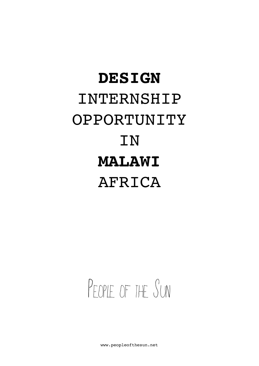## **DESIGN** INTERNSHIP OPPORTUNITY **IN MALAWI**  AFRICA

## PEOPLE OF THE SUN

[www.peopleofthesun.net](http://www.peopleofthesun.net)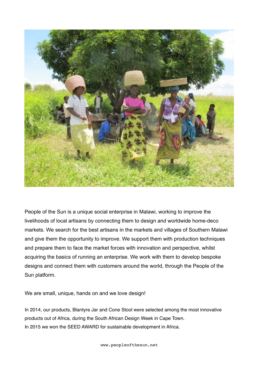

People of the Sun is a unique social enterprise in Malawi, working to improve the livelihoods of local artisans by connecting them to design and worldwide home-deco markets. We search for the best artisans in the markets and villages of Southern Malawi and give them the opportunity to improve. We support them with production techniques and prepare them to face the market forces with innovation and perspective, whilst acquiring the basics of running an enterprise. We work with them to develop bespoke designs and connect them with customers around the world, through the People of the Sun platform.

We are small, unique, hands on and we love design!

In 2014, our products, Blantyre Jar and Cone Stool were selected among the most innovative products out of Africa, during the South African Design Week in Cape Town. In 2015 we won the SEED AWARD for sustainable development in Africa.